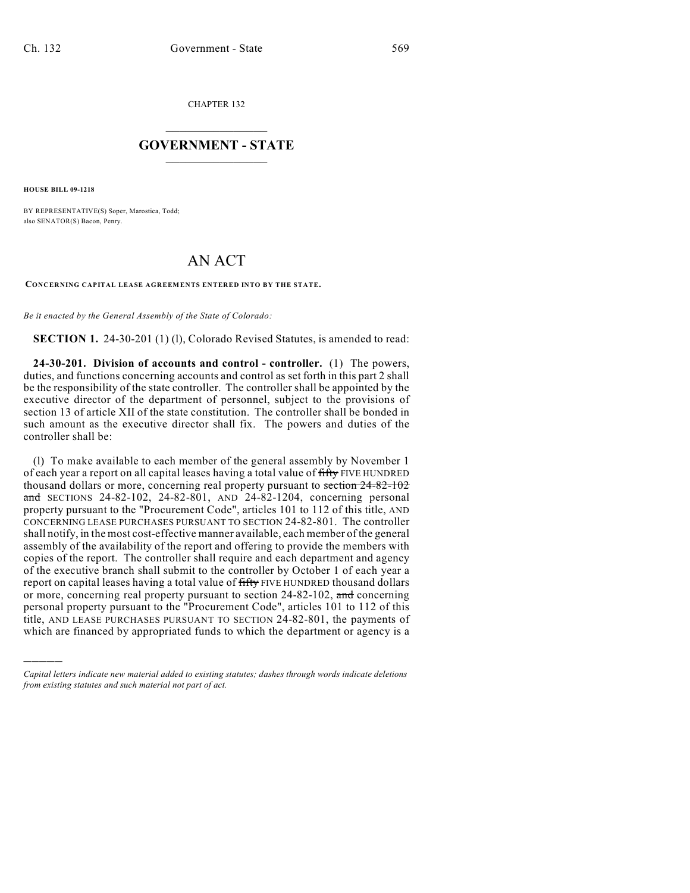CHAPTER 132

## $\mathcal{L}_\text{max}$  . The set of the set of the set of the set of the set of the set of the set of the set of the set of the set of the set of the set of the set of the set of the set of the set of the set of the set of the set **GOVERNMENT - STATE**  $\_$   $\_$   $\_$   $\_$   $\_$   $\_$   $\_$   $\_$

**HOUSE BILL 09-1218**

)))))

BY REPRESENTATIVE(S) Soper, Marostica, Todd; also SENATOR(S) Bacon, Penry.

## AN ACT

**CONCERNING CAPITAL LEASE AGREEMENTS ENTERED INTO BY THE STATE.**

*Be it enacted by the General Assembly of the State of Colorado:*

**SECTION 1.** 24-30-201 (1) (1), Colorado Revised Statutes, is amended to read:

**24-30-201. Division of accounts and control - controller.** (1) The powers, duties, and functions concerning accounts and control as set forth in this part 2 shall be the responsibility of the state controller. The controller shall be appointed by the executive director of the department of personnel, subject to the provisions of section 13 of article XII of the state constitution. The controller shall be bonded in such amount as the executive director shall fix. The powers and duties of the controller shall be:

(l) To make available to each member of the general assembly by November 1 of each year a report on all capital leases having a total value of fifty FIVE HUNDRED thousand dollars or more, concerning real property pursuant to section 24-82-102 and SECTIONS 24-82-102, 24-82-801, AND 24-82-1204, concerning personal property pursuant to the "Procurement Code", articles 101 to 112 of this title, AND CONCERNING LEASE PURCHASES PURSUANT TO SECTION 24-82-801. The controller shall notify, in the most cost-effective manner available, each member of the general assembly of the availability of the report and offering to provide the members with copies of the report. The controller shall require and each department and agency of the executive branch shall submit to the controller by October 1 of each year a report on capital leases having a total value of fifty FIVE HUNDRED thousand dollars or more, concerning real property pursuant to section 24-82-102, and concerning personal property pursuant to the "Procurement Code", articles 101 to 112 of this title, AND LEASE PURCHASES PURSUANT TO SECTION 24-82-801, the payments of which are financed by appropriated funds to which the department or agency is a

*Capital letters indicate new material added to existing statutes; dashes through words indicate deletions from existing statutes and such material not part of act.*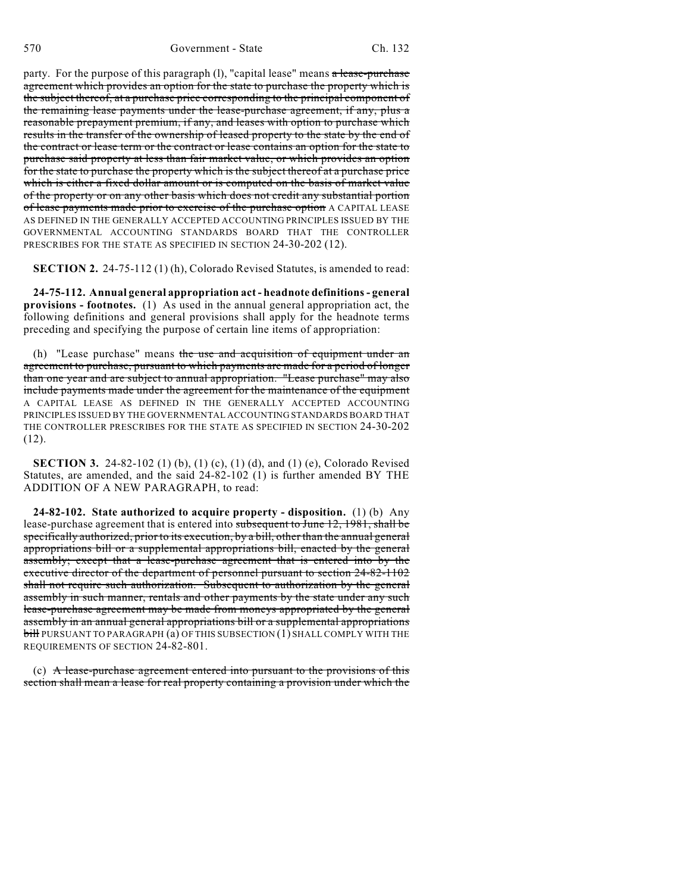party. For the purpose of this paragraph  $(l)$ , "capital lease" means  $\alpha$  lease-purchase agreement which provides an option for the state to purchase the property which is the subject thereof, at a purchase price corresponding to the principal component of the remaining lease payments under the lease-purchase agreement, if any, plus a reasonable prepayment premium, if any, and leases with option to purchase which results in the transfer of the ownership of leased property to the state by the end of the contract or lease term or the contract or lease contains an option for the state to purchase said property at less than fair market value, or which provides an option for the state to purchase the property which is the subject thereof at a purchase price which is either a fixed dollar amount or is computed on the basis of market value of the property or on any other basis which does not credit any substantial portion of lease payments made prior to exercise of the purchase option A CAPITAL LEASE AS DEFINED IN THE GENERALLY ACCEPTED ACCOUNTING PRINCIPLES ISSUED BY THE GOVERNMENTAL ACCOUNTING STANDARDS BOARD THAT THE CONTROLLER PRESCRIBES FOR THE STATE AS SPECIFIED IN SECTION 24-30-202 (12).

**SECTION 2.** 24-75-112 (1) (h), Colorado Revised Statutes, is amended to read:

**24-75-112. Annual general appropriation act - headnote definitions - general provisions - footnotes.** (1) As used in the annual general appropriation act, the following definitions and general provisions shall apply for the headnote terms preceding and specifying the purpose of certain line items of appropriation:

(h) "Lease purchase" means the use and acquisition of equipment under an agreement to purchase, pursuant to which payments are made for a period of longer than one year and are subject to annual appropriation. "Lease purchase" may also include payments made under the agreement for the maintenance of the equipment A CAPITAL LEASE AS DEFINED IN THE GENERALLY ACCEPTED ACCOUNTING PRINCIPLES ISSUED BY THE GOVERNMENTAL ACCOUNTING STANDARDS BOARD THAT THE CONTROLLER PRESCRIBES FOR THE STATE AS SPECIFIED IN SECTION 24-30-202 (12).

**SECTION 3.** 24-82-102 (1) (b), (1) (c), (1) (d), and (1) (e), Colorado Revised Statutes, are amended, and the said 24-82-102 (1) is further amended BY THE ADDITION OF A NEW PARAGRAPH, to read:

**24-82-102. State authorized to acquire property - disposition.** (1) (b) Any lease-purchase agreement that is entered into subsequent to June 12, 1981, shall be specifically authorized, prior to its execution, by a bill, other than the annual general appropriations bill or a supplemental appropriations bill, enacted by the general assembly; except that a lease-purchase agreement that is entered into by the executive director of the department of personnel pursuant to section 24-82-1102 shall not require such authorization. Subsequent to authorization by the general assembly in such manner, rentals and other payments by the state under any such lease-purchase agreement may be made from moneys appropriated by the general assembly in an annual general appropriations bill or a supplemental appropriations bill PURSUANT TO PARAGRAPH (a) OF THIS SUBSECTION (1) SHALL COMPLY WITH THE REQUIREMENTS OF SECTION 24-82-801.

(c) A lease-purchase agreement entered into pursuant to the provisions of this section shall mean a lease for real property containing a provision under which the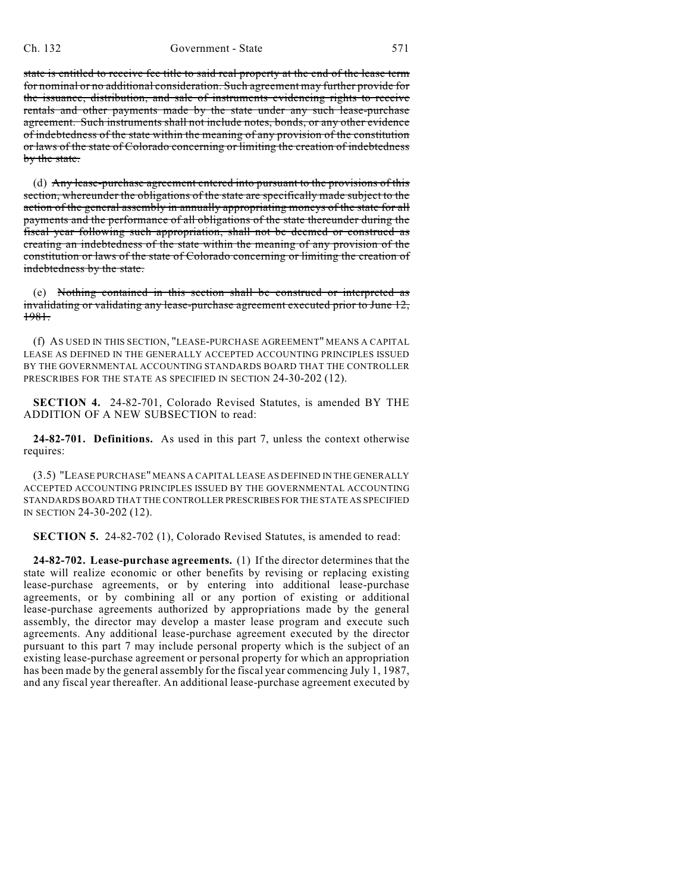state is entitled to receive fee title to said real property at the end of the lease term for nominal or no additional consideration. Such agreement may further provide for the issuance, distribution, and sale of instruments evidencing rights to receive rentals and other payments made by the state under any such lease-purchase agreement. Such instruments shall not include notes, bonds, or any other evidence of indebtedness of the state within the meaning of any provision of the constitution or laws of the state of Colorado concerning or limiting the creation of indebtedness by the state.

(d) Any lease-purchase agreement entered into pursuant to the provisions of this section, whereunder the obligations of the state are specifically made subject to the action of the general assembly in annually appropriating moneys of the state for all payments and the performance of all obligations of the state thereunder during the fiscal year following such appropriation, shall not be deemed or construed as creating an indebtedness of the state within the meaning of any provision of the constitution or laws of the state of Colorado concerning or limiting the creation of indebtedness by the state.

(e) Nothing contained in this section shall be construed or interpreted as invalidating or validating any lease-purchase agreement executed prior to June 12, 1981.

(f) AS USED IN THIS SECTION, "LEASE-PURCHASE AGREEMENT" MEANS A CAPITAL LEASE AS DEFINED IN THE GENERALLY ACCEPTED ACCOUNTING PRINCIPLES ISSUED BY THE GOVERNMENTAL ACCOUNTING STANDARDS BOARD THAT THE CONTROLLER PRESCRIBES FOR THE STATE AS SPECIFIED IN SECTION 24-30-202 (12).

**SECTION 4.** 24-82-701, Colorado Revised Statutes, is amended BY THE ADDITION OF A NEW SUBSECTION to read:

**24-82-701. Definitions.** As used in this part 7, unless the context otherwise requires:

(3.5) "LEASE PURCHASE" MEANS A CAPITAL LEASE AS DEFINED IN THE GENERALLY ACCEPTED ACCOUNTING PRINCIPLES ISSUED BY THE GOVERNMENTAL ACCOUNTING STANDARDS BOARD THAT THE CONTROLLER PRESCRIBES FOR THE STATE AS SPECIFIED IN SECTION 24-30-202 (12).

**SECTION 5.** 24-82-702 (1), Colorado Revised Statutes, is amended to read:

**24-82-702. Lease-purchase agreements.** (1) If the director determines that the state will realize economic or other benefits by revising or replacing existing lease-purchase agreements, or by entering into additional lease-purchase agreements, or by combining all or any portion of existing or additional lease-purchase agreements authorized by appropriations made by the general assembly, the director may develop a master lease program and execute such agreements. Any additional lease-purchase agreement executed by the director pursuant to this part 7 may include personal property which is the subject of an existing lease-purchase agreement or personal property for which an appropriation has been made by the general assembly for the fiscal year commencing July 1, 1987, and any fiscal year thereafter. An additional lease-purchase agreement executed by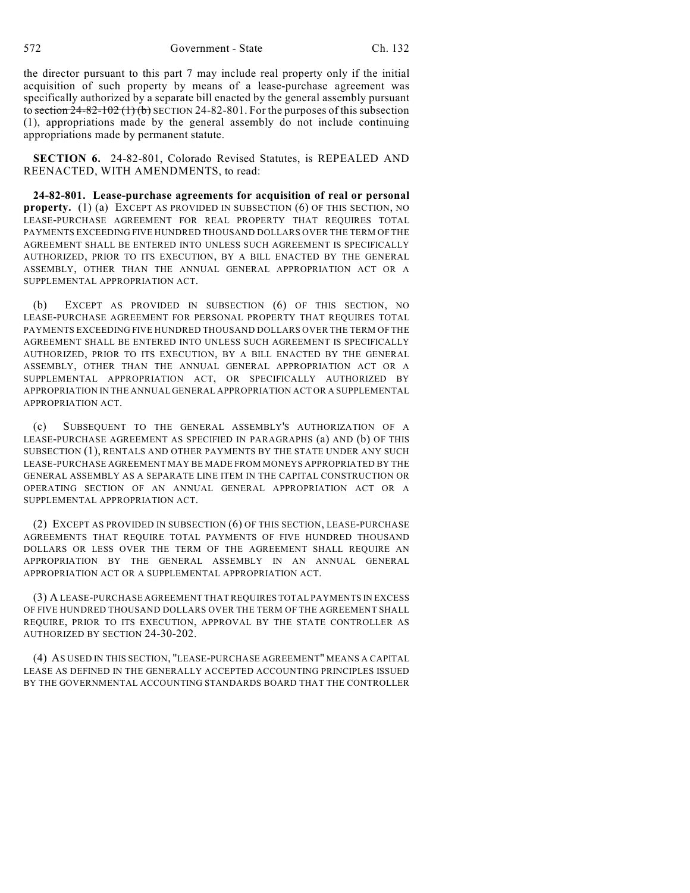572 Government - State Ch. 132

the director pursuant to this part 7 may include real property only if the initial acquisition of such property by means of a lease-purchase agreement was specifically authorized by a separate bill enacted by the general assembly pursuant to section  $24-82-102$  (1) (b) SECTION 24-82-801. For the purposes of this subsection (1), appropriations made by the general assembly do not include continuing appropriations made by permanent statute.

**SECTION 6.** 24-82-801, Colorado Revised Statutes, is REPEALED AND REENACTED, WITH AMENDMENTS, to read:

**24-82-801. Lease-purchase agreements for acquisition of real or personal property.** (1) (a) EXCEPT AS PROVIDED IN SUBSECTION (6) OF THIS SECTION, NO LEASE-PURCHASE AGREEMENT FOR REAL PROPERTY THAT REQUIRES TOTAL PAYMENTS EXCEEDING FIVE HUNDRED THOUSAND DOLLARS OVER THE TERM OF THE AGREEMENT SHALL BE ENTERED INTO UNLESS SUCH AGREEMENT IS SPECIFICALLY AUTHORIZED, PRIOR TO ITS EXECUTION, BY A BILL ENACTED BY THE GENERAL ASSEMBLY, OTHER THAN THE ANNUAL GENERAL APPROPRIATION ACT OR A SUPPLEMENTAL APPROPRIATION ACT.

(b) EXCEPT AS PROVIDED IN SUBSECTION (6) OF THIS SECTION, NO LEASE-PURCHASE AGREEMENT FOR PERSONAL PROPERTY THAT REQUIRES TOTAL PAYMENTS EXCEEDING FIVE HUNDRED THOUSAND DOLLARS OVER THE TERM OF THE AGREEMENT SHALL BE ENTERED INTO UNLESS SUCH AGREEMENT IS SPECIFICALLY AUTHORIZED, PRIOR TO ITS EXECUTION, BY A BILL ENACTED BY THE GENERAL ASSEMBLY, OTHER THAN THE ANNUAL GENERAL APPROPRIATION ACT OR A SUPPLEMENTAL APPROPRIATION ACT, OR SPECIFICALLY AUTHORIZED BY APPROPRIATION IN THE ANNUAL GENERAL APPROPRIATION ACT OR A SUPPLEMENTAL APPROPRIATION ACT.

(c) SUBSEQUENT TO THE GENERAL ASSEMBLY'S AUTHORIZATION OF A LEASE-PURCHASE AGREEMENT AS SPECIFIED IN PARAGRAPHS (a) AND (b) OF THIS SUBSECTION (1), RENTALS AND OTHER PAYMENTS BY THE STATE UNDER ANY SUCH LEASE-PURCHASE AGREEMENT MAY BE MADE FROM MONEYS APPROPRIATED BY THE GENERAL ASSEMBLY AS A SEPARATE LINE ITEM IN THE CAPITAL CONSTRUCTION OR OPERATING SECTION OF AN ANNUAL GENERAL APPROPRIATION ACT OR A SUPPLEMENTAL APPROPRIATION ACT.

(2) EXCEPT AS PROVIDED IN SUBSECTION (6) OF THIS SECTION, LEASE-PURCHASE AGREEMENTS THAT REQUIRE TOTAL PAYMENTS OF FIVE HUNDRED THOUSAND DOLLARS OR LESS OVER THE TERM OF THE AGREEMENT SHALL REQUIRE AN APPROPRIATION BY THE GENERAL ASSEMBLY IN AN ANNUAL GENERAL APPROPRIATION ACT OR A SUPPLEMENTAL APPROPRIATION ACT.

(3) A LEASE-PURCHASE AGREEMENT THAT REQUIRES TOTAL PAYMENTS IN EXCESS OF FIVE HUNDRED THOUSAND DOLLARS OVER THE TERM OF THE AGREEMENT SHALL REQUIRE, PRIOR TO ITS EXECUTION, APPROVAL BY THE STATE CONTROLLER AS AUTHORIZED BY SECTION 24-30-202.

(4) AS USED IN THIS SECTION, "LEASE-PURCHASE AGREEMENT" MEANS A CAPITAL LEASE AS DEFINED IN THE GENERALLY ACCEPTED ACCOUNTING PRINCIPLES ISSUED BY THE GOVERNMENTAL ACCOUNTING STANDARDS BOARD THAT THE CONTROLLER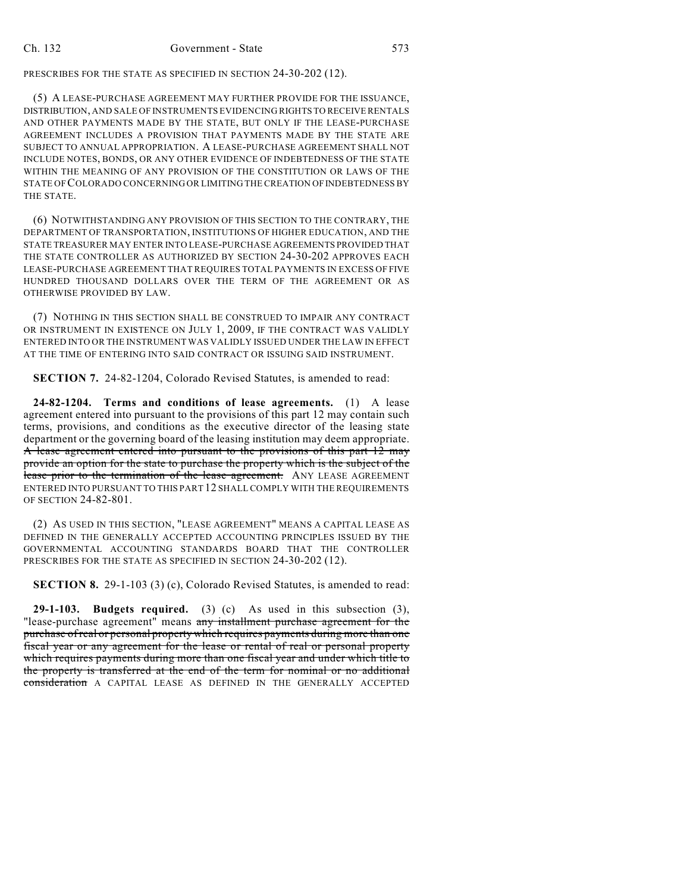PRESCRIBES FOR THE STATE AS SPECIFIED IN SECTION 24-30-202 (12).

(5) A LEASE-PURCHASE AGREEMENT MAY FURTHER PROVIDE FOR THE ISSUANCE, DISTRIBUTION, AND SALE OF INSTRUMENTS EVIDENCING RIGHTS TO RECEIVE RENTALS AND OTHER PAYMENTS MADE BY THE STATE, BUT ONLY IF THE LEASE-PURCHASE AGREEMENT INCLUDES A PROVISION THAT PAYMENTS MADE BY THE STATE ARE SUBJECT TO ANNUAL APPROPRIATION. A LEASE-PURCHASE AGREEMENT SHALL NOT INCLUDE NOTES, BONDS, OR ANY OTHER EVIDENCE OF INDEBTEDNESS OF THE STATE WITHIN THE MEANING OF ANY PROVISION OF THE CONSTITUTION OR LAWS OF THE STATE OF COLORADO CONCERNING OR LIMITING THE CREATION OF INDEBTEDNESS BY THE STATE.

(6) NOTWITHSTANDING ANY PROVISION OF THIS SECTION TO THE CONTRARY, THE DEPARTMENT OF TRANSPORTATION, INSTITUTIONS OF HIGHER EDUCATION, AND THE STATE TREASURER MAY ENTER INTO LEASE-PURCHASE AGREEMENTS PROVIDED THAT THE STATE CONTROLLER AS AUTHORIZED BY SECTION 24-30-202 APPROVES EACH LEASE-PURCHASE AGREEMENT THAT REQUIRES TOTAL PAYMENTS IN EXCESS OF FIVE HUNDRED THOUSAND DOLLARS OVER THE TERM OF THE AGREEMENT OR AS OTHERWISE PROVIDED BY LAW.

(7) NOTHING IN THIS SECTION SHALL BE CONSTRUED TO IMPAIR ANY CONTRACT OR INSTRUMENT IN EXISTENCE ON JULY 1, 2009, IF THE CONTRACT WAS VALIDLY ENTERED INTO OR THE INSTRUMENT WAS VALIDLY ISSUED UNDER THE LAW IN EFFECT AT THE TIME OF ENTERING INTO SAID CONTRACT OR ISSUING SAID INSTRUMENT.

**SECTION 7.** 24-82-1204, Colorado Revised Statutes, is amended to read:

**24-82-1204. Terms and conditions of lease agreements.** (1) A lease agreement entered into pursuant to the provisions of this part 12 may contain such terms, provisions, and conditions as the executive director of the leasing state department or the governing board of the leasing institution may deem appropriate. A lease agreement entered into pursuant to the provisions of this part 12 may provide an option for the state to purchase the property which is the subject of the lease prior to the termination of the lease agreement. ANY LEASE AGREEMENT ENTERED INTO PURSUANT TO THIS PART 12 SHALL COMPLY WITH THE REQUIREMENTS OF SECTION 24-82-801.

(2) AS USED IN THIS SECTION, "LEASE AGREEMENT" MEANS A CAPITAL LEASE AS DEFINED IN THE GENERALLY ACCEPTED ACCOUNTING PRINCIPLES ISSUED BY THE GOVERNMENTAL ACCOUNTING STANDARDS BOARD THAT THE CONTROLLER PRESCRIBES FOR THE STATE AS SPECIFIED IN SECTION 24-30-202 (12).

**SECTION 8.** 29-1-103 (3) (c), Colorado Revised Statutes, is amended to read:

**29-1-103. Budgets required.** (3) (c) As used in this subsection (3), "lease-purchase agreement" means any installment purchase agreement for the purchase ofreal or personal property which requires payments during more than one fiscal year or any agreement for the lease or rental of real or personal property which requires payments during more than one fiscal year and under which title to the property is transferred at the end of the term for nominal or no additional consideration A CAPITAL LEASE AS DEFINED IN THE GENERALLY ACCEPTED